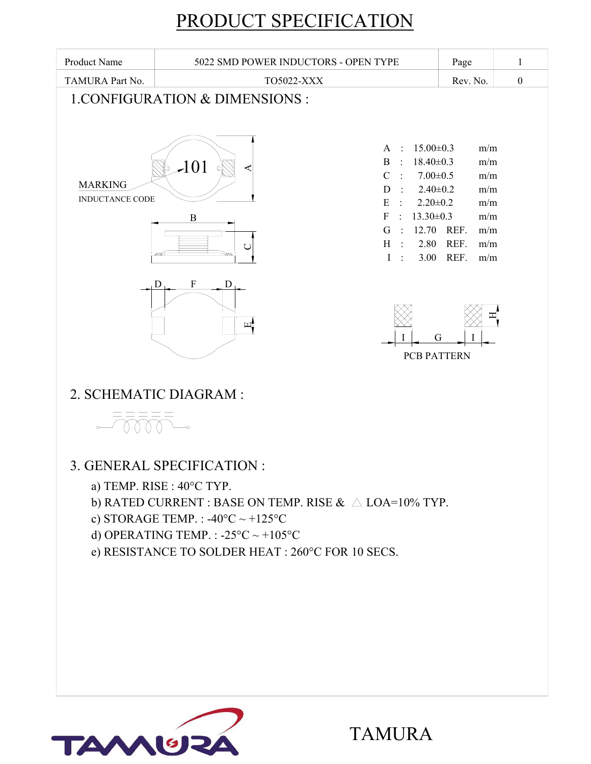

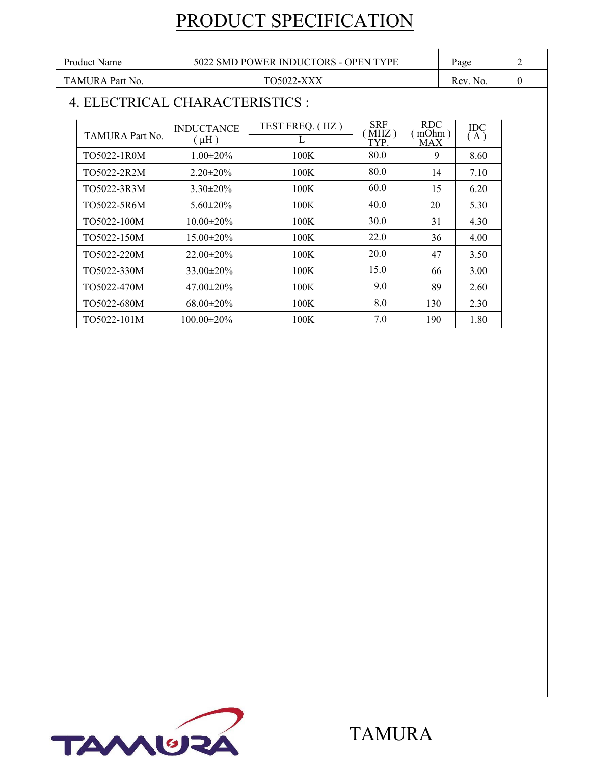| <b>Product Name</b> |                        | 5022 SMD POWER INDUCTORS - OPEN TYPE |                 |                            |                            | Page              | 2 |
|---------------------|------------------------|--------------------------------------|-----------------|----------------------------|----------------------------|-------------------|---|
|                     | TAMURA Part No.        | TO5022-XXX                           |                 |                            | Rev. No.                   | $\theta$          |   |
|                     |                        | 4. ELECTRICAL CHARACTERISTICS :      |                 |                            |                            |                   |   |
|                     | <b>TAMURA Part No.</b> | <b>INDUCTANCE</b><br>$(\mu H)$       | TEST FREQ. (HZ) | <b>SRF</b><br>MHZ)<br>TYP. | RDC<br>mOhm)<br><b>MAX</b> | <b>IDC</b><br>(A) |   |
|                     | TO5022-1R0M            | $1.00 \pm 20\%$                      | 100K            | 80.0                       | 9                          | 8.60              |   |
|                     | TO5022-2R2M            | $2.20 \pm 20\%$                      | 100K            | 80.0                       | 14                         | 7.10              |   |
|                     | TO5022-3R3M            | $3.30 \pm 20\%$                      | 100K            | 60.0                       | 15                         | 6.20              |   |
|                     | TO5022-5R6M            | $5.60 \pm 20\%$                      | 100K            | 40.0                       | 20                         | 5.30              |   |
|                     | TO5022-100M            | $10.00 \pm 20\%$                     | 100K            | 30.0                       | 31                         | 4.30              |   |
|                     | TO5022-150M            | $15.00 \pm 20\%$                     | 100K            | 22.0                       | 36                         | 4.00              |   |
|                     | TO5022-220M            | $22.00 \pm 20\%$                     | 100K            | 20.0                       | 47                         | 3.50              |   |
|                     | TO5022-330M            | $33.00 \pm 20\%$                     | 100K            | 15.0                       | 66                         | 3.00              |   |
|                     | TO5022-470M            | $47.00 \pm 20\%$                     | 100K            | 9.0                        | 89                         | 2.60              |   |
|                     | TO5022-680M            | $68.00 \pm 20\%$                     | 100K            | 8.0                        | 130                        | 2.30              |   |
|                     | TO5022-101M            | $100.00 \pm 20\%$                    | 100K            | 7.0                        | 190                        | 1.80              |   |

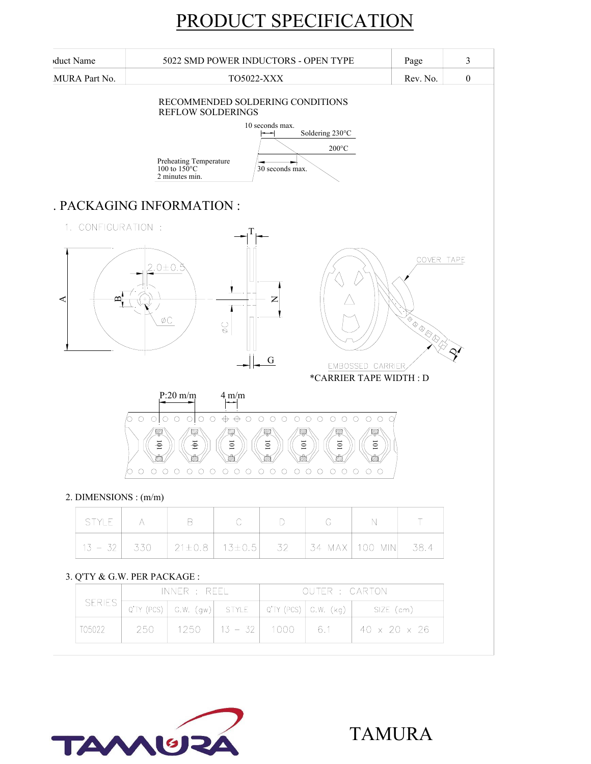

|  | SERIES | INNER : RFFI |                                                      |                             | OUTER : CARTON |      |                          |
|--|--------|--------------|------------------------------------------------------|-----------------------------|----------------|------|--------------------------|
|  |        |              | $Q'TY$ (PCS) G.W. (gw) STYLE $ Q'TY$ (PCS) G.W. (kg) |                             |                |      | SIZE (cm)                |
|  | T05022 | 250          |                                                      | $1250$   $13 - 32$   $1000$ |                | 16.1 | $40 \times 20 \times 26$ |

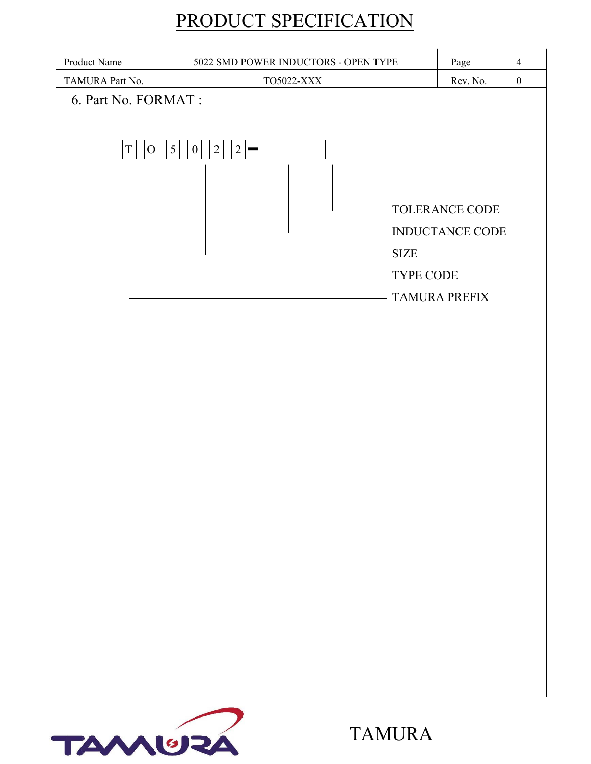| Product Name                | 5022 SMD POWER INDUCTORS - OPEN TYPE                                                  |                                                           | $\overline{4}$ |
|-----------------------------|---------------------------------------------------------------------------------------|-----------------------------------------------------------|----------------|
| TAMURA Part No.             | Rev. No.                                                                              | $\boldsymbol{0}$                                          |                |
| 6. Part No. FORMAT :        |                                                                                       |                                                           |                |
| $\mathbf T$<br>$\mathbf{O}$ | 5<br>$\overline{c}$<br>$\overline{2}$<br>$\boldsymbol{0}$<br><b>SIZE</b><br>TYPE CODE | TOLERANCE CODE<br>INDUCTANCE CODE<br><b>TAMURA PREFIX</b> |                |